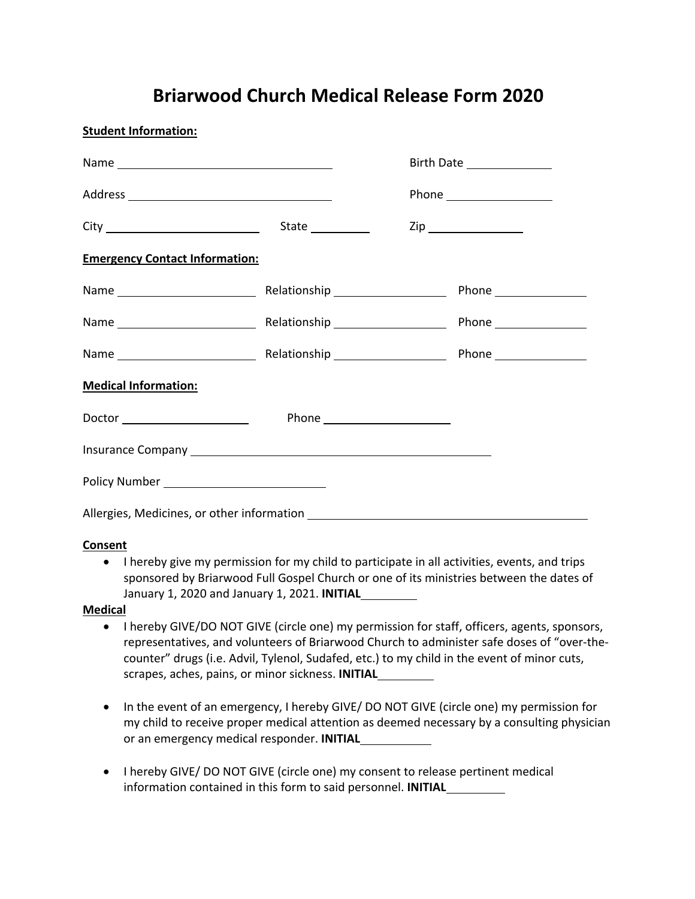## **Briarwood Church Medical Release Form 2020**

|                                            |  |  | Birth Date _______________ |
|--------------------------------------------|--|--|----------------------------|
|                                            |  |  |                            |
|                                            |  |  | Zip ___________________    |
| <b>Emergency Contact Information:</b>      |  |  |                            |
|                                            |  |  |                            |
|                                            |  |  |                            |
|                                            |  |  |                            |
| <b>Medical Information:</b>                |  |  |                            |
|                                            |  |  |                            |
|                                            |  |  |                            |
|                                            |  |  |                            |
| Allergies, Medicines, or other information |  |  |                            |

## **Consent**

**Student Information:**

• I hereby give my permission for my child to participate in all activities, events, and trips sponsored by Briarwood Full Gospel Church or one of its ministries between the dates of January 1, 2020 and January 1, 2021. **INITIAL .**

## **Medical**

- I hereby GIVE/DO NOT GIVE (circle one) my permission for staff, officers, agents, sponsors, representatives, and volunteers of Briarwood Church to administer safe doses of "over-thecounter" drugs (i.e. Advil, Tylenol, Sudafed, etc.) to my child in the event of minor cuts, scrapes, aches, pains, or minor sickness. **INITIAL .**
- In the event of an emergency, I hereby GIVE/ DO NOT GIVE (circle one) my permission for my child to receive proper medical attention as deemed necessary by a consulting physician or an emergency medical responder. **INITIAL .**
- I hereby GIVE/ DO NOT GIVE (circle one) my consent to release pertinent medical information contained in this form to said personnel. **INITIAL .**